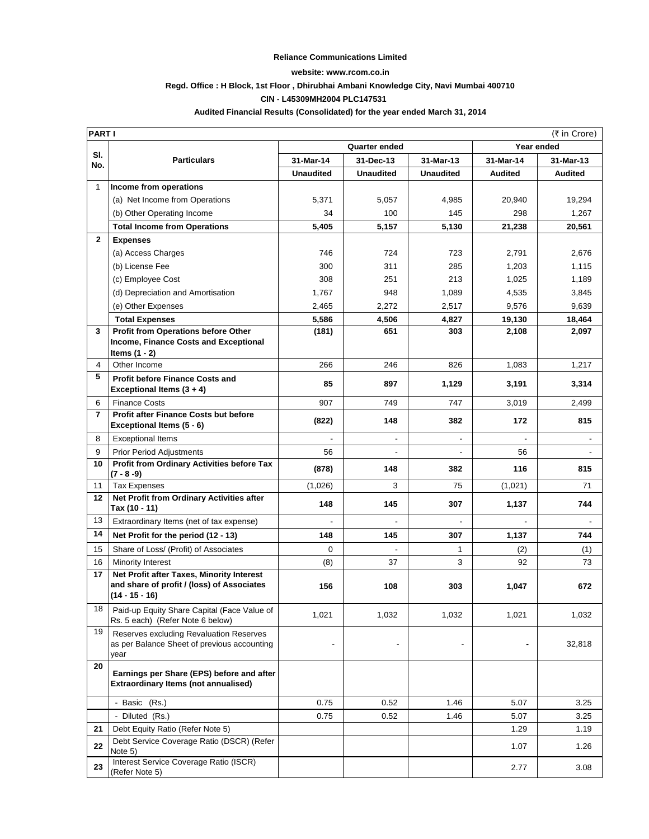## **Reliance Communications Limited**

#### **website: www.rcom.co.in**

## **Regd. Office : H Block, 1st Floor , Dhirubhai Ambani Knowledge City, Navi Mumbai 400710**

# **CIN - L45309MH2004 PLC147531**

## **Audited Financial Results (Consolidated) for the year ended March 31, 2014**

|                | PART I<br>(₹ in Crore)                                                                                    |                      |                  |                  |            |                |
|----------------|-----------------------------------------------------------------------------------------------------------|----------------------|------------------|------------------|------------|----------------|
|                |                                                                                                           | <b>Quarter ended</b> |                  |                  | Year ended |                |
| SI.<br>No.     | <b>Particulars</b>                                                                                        | 31-Mar-14            | 31-Dec-13        | 31-Mar-13        | 31-Mar-14  | 31-Mar-13      |
|                |                                                                                                           | <b>Unaudited</b>     | <b>Unaudited</b> | <b>Unaudited</b> | Audited    | <b>Audited</b> |
| $\mathbf{1}$   | Income from operations                                                                                    |                      |                  |                  |            |                |
|                | (a) Net Income from Operations                                                                            | 5,371                | 5,057            | 4,985            | 20,940     | 19,294         |
|                | (b) Other Operating Income                                                                                | 34                   | 100              | 145              | 298        | 1,267          |
|                | <b>Total Income from Operations</b>                                                                       | 5,405                | 5,157            | 5,130            | 21,238     | 20,561         |
| $\mathbf{2}$   | <b>Expenses</b>                                                                                           |                      |                  |                  |            |                |
|                | (a) Access Charges                                                                                        | 746                  | 724              | 723              | 2,791      | 2,676          |
|                | (b) License Fee                                                                                           | 300                  | 311              | 285              | 1,203      | 1,115          |
|                | (c) Employee Cost                                                                                         | 308                  | 251              | 213              | 1,025      | 1,189          |
|                | (d) Depreciation and Amortisation                                                                         | 1,767                | 948              | 1,089            | 4,535      | 3,845          |
|                | (e) Other Expenses                                                                                        | 2,465                | 2,272            | 2,517            | 9,576      | 9,639          |
|                | <b>Total Expenses</b>                                                                                     | 5,586                | 4,506            | 4,827            | 19,130     | 18,464         |
| 3              | Profit from Operations before Other                                                                       | (181)                | 651              | 303              | 2,108      | 2,097          |
|                | <b>Income, Finance Costs and Exceptional</b>                                                              |                      |                  |                  |            |                |
|                | Items $(1 - 2)$                                                                                           |                      |                  |                  |            |                |
| 4<br>5         | Other Income                                                                                              | 266                  | 246              | 826              | 1,083      | 1,217          |
|                | <b>Profit before Finance Costs and</b><br>Exceptional Items (3 + 4)                                       | 85                   | 897              | 1,129            | 3,191      | 3,314          |
| 6              | <b>Finance Costs</b>                                                                                      | 907                  | 749              | 747              | 3,019      | 2,499          |
| $\overline{7}$ | Profit after Finance Costs but before<br>Exceptional Items (5 - 6)                                        | (822)                | 148              | 382              | 172        | 815            |
| 8              | <b>Exceptional Items</b>                                                                                  |                      |                  |                  |            |                |
| 9              | <b>Prior Period Adjustments</b>                                                                           | 56                   |                  |                  | 56         |                |
| 10             | Profit from Ordinary Activities before Tax<br>(7 - 8 -9)                                                  | (878)                | 148              | 382              | 116        | 815            |
| 11             | <b>Tax Expenses</b>                                                                                       | (1,026)              | 3                | 75               | (1,021)    | 71             |
| 12             | Net Profit from Ordinary Activities after<br>Tax (10 - 11)                                                | 148                  | 145              | 307              | 1,137      | 744            |
| 13             | Extraordinary Items (net of tax expense)                                                                  | $\blacksquare$       |                  |                  |            |                |
| 14             | Net Profit for the period (12 - 13)                                                                       | 148                  | 145              | 307              | 1,137      | 744            |
| 15             | Share of Loss/ (Profit) of Associates                                                                     | $\mathbf 0$          | ÷,               | 1                | (2)        | (1)            |
| 16             | Minority Interest                                                                                         | (8)                  | 37               | 3                | 92         | 73             |
| 17             | Net Profit after Taxes, Minority Interest<br>and share of profit / (loss) of Associates<br>(14 - 15 - 16) | 156                  | 108              | 303              | 1,047      | 672            |
| 18             | Paid-up Equity Share Capital (Face Value of<br>Rs. 5 each) (Refer Note 6 below)                           | 1,021                | 1,032            | 1,032            | 1,021      | 1,032          |
| 19             | Reserves excluding Revaluation Reserves<br>as per Balance Sheet of previous accounting<br>year            |                      | $\blacksquare$   |                  |            | 32,818         |
| 20             | Earnings per Share (EPS) before and after<br><b>Extraordinary Items (not annualised)</b>                  |                      |                  |                  |            |                |
|                | - Basic (Rs.)                                                                                             | 0.75                 | 0.52             | 1.46             | 5.07       | 3.25           |
|                | - Diluted (Rs.)                                                                                           | 0.75                 | 0.52             | 1.46             | 5.07       | 3.25           |
| 21             | Debt Equity Ratio (Refer Note 5)                                                                          |                      |                  |                  | 1.29       | 1.19           |
| 22             | Debt Service Coverage Ratio (DSCR) (Refer<br>Note 5)                                                      |                      |                  |                  | 1.07       | 1.26           |
| 23             | Interest Service Coverage Ratio (ISCR)<br>(Refer Note 5)                                                  |                      |                  |                  | 2.77       | 3.08           |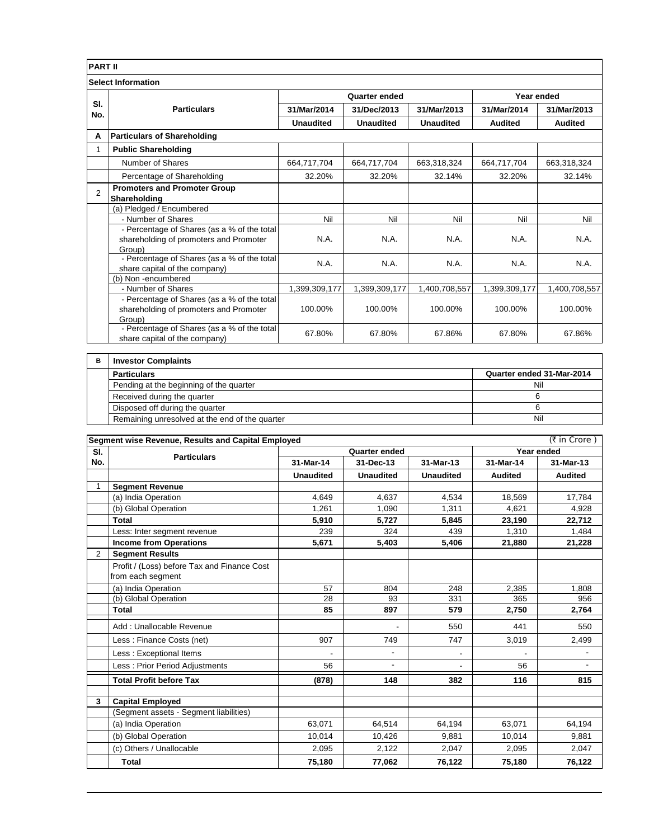| <b>PART II</b> |                                                                                       |                  |                  |                  |                |                |
|----------------|---------------------------------------------------------------------------------------|------------------|------------------|------------------|----------------|----------------|
|                | <b>Select Information</b>                                                             |                  |                  |                  |                |                |
|                | <b>Particulars</b>                                                                    | Quarter ended    |                  |                  | Year ended     |                |
| SI.<br>No.     |                                                                                       | 31/Mar/2014      | 31/Dec/2013      | 31/Mar/2013      | 31/Mar/2014    | 31/Mar/2013    |
|                |                                                                                       | <b>Unaudited</b> | <b>Unaudited</b> | <b>Unaudited</b> | <b>Audited</b> | <b>Audited</b> |
| A              | <b>Particulars of Shareholding</b>                                                    |                  |                  |                  |                |                |
|                | <b>Public Shareholding</b>                                                            |                  |                  |                  |                |                |
|                | Number of Shares                                                                      | 664,717,704      | 664,717,704      | 663,318,324      | 664,717,704    | 663,318,324    |
|                | Percentage of Shareholding                                                            | 32.20%           | 32.20%           | 32.14%           | 32.20%         | 32.14%         |
| $\overline{2}$ | <b>Promoters and Promoter Group</b>                                                   |                  |                  |                  |                |                |
|                | Shareholding<br>(a) Pledged / Encumbered                                              |                  |                  |                  |                |                |
|                | - Number of Shares                                                                    | Nil              | Nil              | Nil              | Nil            | Nil            |
|                |                                                                                       |                  |                  |                  |                |                |
|                | - Percentage of Shares (as a % of the total<br>shareholding of promoters and Promoter | N.A.             | N.A.             | N.A.             | N.A.           | N.A.           |
|                | Group)                                                                                |                  |                  |                  |                |                |
|                | - Percentage of Shares (as a % of the total                                           | N.A.             | N.A.             | N.A.             | N.A.           | N.A.           |
|                | share capital of the company)                                                         |                  |                  |                  |                |                |
|                | (b) Non-encumbered                                                                    |                  |                  |                  |                |                |
|                | - Number of Shares                                                                    | 1,399,309,177    | 1,399,309,177    | 1,400,708,557    | 1,399,309,177  | 1,400,708,557  |
|                | - Percentage of Shares (as a % of the total                                           |                  |                  |                  |                |                |
|                | shareholding of promoters and Promoter                                                | 100.00%          | 100.00%          | 100.00%          | 100.00%        | 100.00%        |
|                | Group)                                                                                |                  |                  |                  |                |                |
|                | - Percentage of Shares (as a % of the total<br>share capital of the company)          | 67.80%           | 67.80%           | 67.86%           | 67.80%         | 67.86%         |
|                |                                                                                       |                  |                  |                  |                |                |

| в | <b>Investor Complaints</b>                     |                           |
|---|------------------------------------------------|---------------------------|
|   | <b>Particulars</b>                             | Quarter ended 31-Mar-2014 |
|   | Pending at the beginning of the quarter        | Nil                       |
|   | Received during the quarter                    |                           |
|   | Disposed off during the quarter                |                           |
|   | Remaining unresolved at the end of the quarter | Nil                       |

|     | (₹ in Crore)<br>Segment wise Revenue, Results and Capital Employed |                  |                          |                          |                |                |
|-----|--------------------------------------------------------------------|------------------|--------------------------|--------------------------|----------------|----------------|
| SI. | <b>Particulars</b>                                                 | Quarter ended    |                          |                          | Year ended     |                |
| No. |                                                                    | 31-Mar-14        | 31-Dec-13                | 31-Mar-13                | 31-Mar-14      | 31-Mar-13      |
|     |                                                                    | <b>Unaudited</b> | <b>Unaudited</b>         | <b>Unaudited</b>         | <b>Audited</b> | <b>Audited</b> |
| 1   | <b>Segment Revenue</b>                                             |                  |                          |                          |                |                |
|     | (a) India Operation                                                | 4,649            | 4,637                    | 4,534                    | 18,569         | 17,784         |
|     | (b) Global Operation                                               | 1.261            | 1,090                    | 1,311                    | 4,621          | 4,928          |
|     | Total                                                              | 5,910            | 5,727                    | 5,845                    | 23,190         | 22,712         |
|     | Less: Inter segment revenue                                        | 239              | 324                      | 439                      | 1,310          | 1,484          |
|     | <b>Income from Operations</b>                                      | 5,671            | 5,403                    | 5,406                    | 21,880         | 21,228         |
| 2   | <b>Segment Results</b>                                             |                  |                          |                          |                |                |
|     | Profit / (Loss) before Tax and Finance Cost<br>from each segment   |                  |                          |                          |                |                |
|     | (a) India Operation                                                | 57               | 804                      | 248                      | 2,385          | 1.808          |
|     | (b) Global Operation                                               | 28               | 93                       | 331                      | 365            | 956            |
|     | Total                                                              | 85               | 897                      | 579                      | 2,750          | 2,764          |
|     | Add: Unallocable Revenue                                           |                  |                          | 550                      | 441            | 550            |
|     | Less: Finance Costs (net)                                          | 907              | 749                      | 747                      | 3,019          | 2,499          |
|     | Less: Exceptional Items                                            |                  | $\overline{\phantom{a}}$ | $\overline{\phantom{a}}$ |                |                |
|     | Less: Prior Period Adjustments                                     | 56               | $\overline{a}$           |                          | 56             |                |
|     | <b>Total Profit before Tax</b>                                     | (878)            | 148                      | 382                      | 116            | 815            |
| 3   | <b>Capital Employed</b>                                            |                  |                          |                          |                |                |
|     | (Segment assets - Segment liabilities)                             |                  |                          |                          |                |                |
|     | (a) India Operation                                                | 63.071           | 64,514                   | 64,194                   | 63.071         | 64,194         |
|     | (b) Global Operation                                               | 10,014           | 10,426                   | 9,881                    | 10,014         | 9,881          |
|     | (c) Others / Unallocable                                           | 2,095            | 2,122                    | 2,047                    | 2,095          | 2,047          |
|     | Total                                                              | 75,180           | 77,062                   | 76,122                   | 75,180         | 76,122         |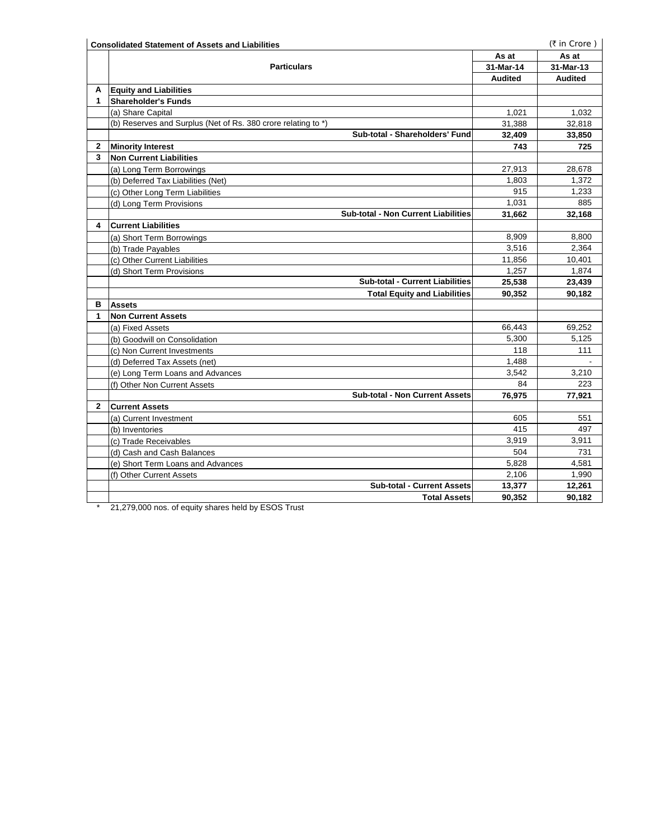|              | <b>Consolidated Statement of Assets and Liabilities</b>                                                                                                                                                                                                                                                                                                                                                   |                | (₹ in Crore)   |
|--------------|-----------------------------------------------------------------------------------------------------------------------------------------------------------------------------------------------------------------------------------------------------------------------------------------------------------------------------------------------------------------------------------------------------------|----------------|----------------|
|              |                                                                                                                                                                                                                                                                                                                                                                                                           | As at          | As at          |
|              | <b>Particulars</b>                                                                                                                                                                                                                                                                                                                                                                                        | 31-Mar-14      | 31-Mar-13      |
|              |                                                                                                                                                                                                                                                                                                                                                                                                           | <b>Audited</b> | <b>Audited</b> |
| A            | <b>Equity and Liabilities</b>                                                                                                                                                                                                                                                                                                                                                                             |                |                |
| 1            | <b>Shareholder's Funds</b>                                                                                                                                                                                                                                                                                                                                                                                |                |                |
|              | (a) Share Capital                                                                                                                                                                                                                                                                                                                                                                                         | 1,021          | 1,032          |
|              | (b) Reserves and Surplus (Net of Rs. 380 crore relating to *)                                                                                                                                                                                                                                                                                                                                             | 31,388         | 32,818         |
|              | Sub-total - Shareholders' Fund                                                                                                                                                                                                                                                                                                                                                                            | 32,409         | 33,850         |
| $\mathbf{2}$ | <b>Minority Interest</b>                                                                                                                                                                                                                                                                                                                                                                                  | 743            | 725            |
| 3            | <b>Non Current Liabilities</b>                                                                                                                                                                                                                                                                                                                                                                            |                |                |
|              | (a) Long Term Borrowings                                                                                                                                                                                                                                                                                                                                                                                  | 27,913         | 28,678         |
|              | (b) Deferred Tax Liabilities (Net)                                                                                                                                                                                                                                                                                                                                                                        | 1,803          | 1,372          |
|              | (c) Other Long Term Liabilities                                                                                                                                                                                                                                                                                                                                                                           | 915            | 1.233          |
|              | (d) Long Term Provisions                                                                                                                                                                                                                                                                                                                                                                                  | 1,031          | 885            |
|              | Sub-total - Non Current Liabilities                                                                                                                                                                                                                                                                                                                                                                       | 31,662         | 32,168         |
| 4            | <b>Current Liabilities</b>                                                                                                                                                                                                                                                                                                                                                                                |                |                |
|              | (a) Short Term Borrowings                                                                                                                                                                                                                                                                                                                                                                                 | 8,909          | 8,800          |
|              | (b) Trade Payables                                                                                                                                                                                                                                                                                                                                                                                        | 3.516          | 2.364          |
|              | (c) Other Current Liabilities                                                                                                                                                                                                                                                                                                                                                                             | 11,856         | 10,401         |
|              | (d) Short Term Provisions                                                                                                                                                                                                                                                                                                                                                                                 | 1,257          | 1,874          |
|              | <b>Sub-total - Current Liabilities</b>                                                                                                                                                                                                                                                                                                                                                                    | 25,538         | 23,439         |
|              | <b>Total Equity and Liabilities</b>                                                                                                                                                                                                                                                                                                                                                                       | 90,352         | 90,182         |
| в            | <b>Assets</b>                                                                                                                                                                                                                                                                                                                                                                                             |                |                |
| 1            | <b>Non Current Assets</b>                                                                                                                                                                                                                                                                                                                                                                                 |                |                |
|              | (a) Fixed Assets                                                                                                                                                                                                                                                                                                                                                                                          | 66,443         | 69,252         |
|              | (b) Goodwill on Consolidation                                                                                                                                                                                                                                                                                                                                                                             | 5,300          | 5,125          |
|              | (c) Non Current Investments                                                                                                                                                                                                                                                                                                                                                                               | 118            | 111            |
|              | (d) Deferred Tax Assets (net)                                                                                                                                                                                                                                                                                                                                                                             | 1,488          |                |
|              | (e) Long Term Loans and Advances                                                                                                                                                                                                                                                                                                                                                                          | 3,542          | 3,210          |
|              | (f) Other Non Current Assets                                                                                                                                                                                                                                                                                                                                                                              | 84             | 223            |
|              | Sub-total - Non Current Assets                                                                                                                                                                                                                                                                                                                                                                            | 76,975         | 77,921         |
| $\mathbf{2}$ | <b>Current Assets</b>                                                                                                                                                                                                                                                                                                                                                                                     |                |                |
|              | (a) Current Investment                                                                                                                                                                                                                                                                                                                                                                                    | 605            | 551            |
|              | (b) Inventories                                                                                                                                                                                                                                                                                                                                                                                           | 415            | 497            |
|              | (c) Trade Receivables                                                                                                                                                                                                                                                                                                                                                                                     | 3,919          | 3,911          |
|              | (d) Cash and Cash Balances                                                                                                                                                                                                                                                                                                                                                                                | 504            | 731            |
|              | (e) Short Term Loans and Advances                                                                                                                                                                                                                                                                                                                                                                         | 5,828          | 4,581          |
|              | (f) Other Current Assets                                                                                                                                                                                                                                                                                                                                                                                  | 2,106          | 1,990          |
|              | <b>Sub-total - Current Assets</b>                                                                                                                                                                                                                                                                                                                                                                         | 13,377         | 12,261         |
|              | <b>Total Assets</b><br>$\lambda$ and $\lambda$ and $\lambda$ and $\lambda$ and $\lambda$ and $\lambda$ and $\lambda$ and $\lambda$ and $\lambda$ and $\lambda$ and $\lambda$ and $\lambda$ and $\lambda$ and $\lambda$ and $\lambda$ and $\lambda$ and $\lambda$ and $\lambda$ and $\lambda$ and $\lambda$ and $\lambda$ and $\lambda$ and $\lambda$ and $\lambda$ and $\lambda$<br>$270.000 \text{ mas}$ | 90,352         | 90,182         |

21,279,000 nos. of equity shares held by ESOS Trust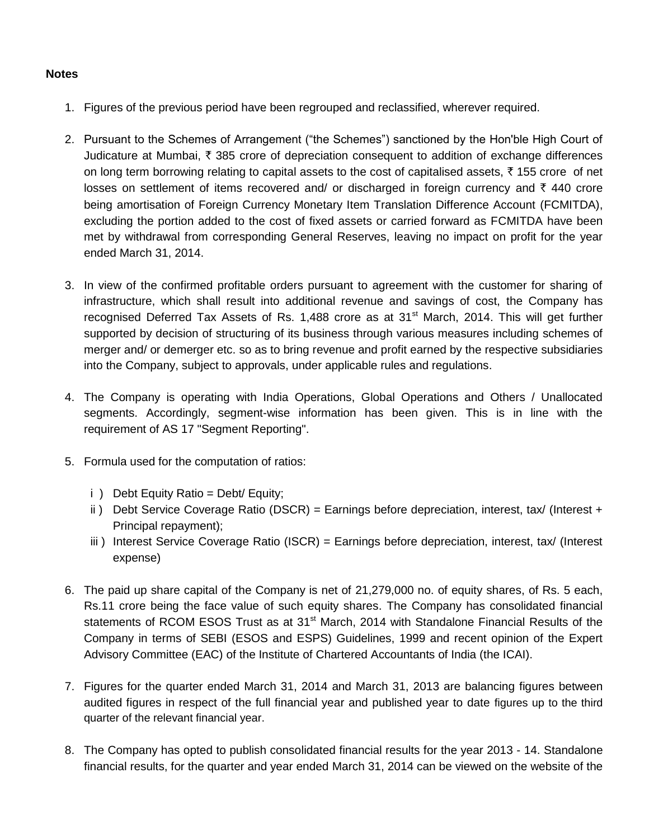# **Notes**

- 1. Figures of the previous period have been regrouped and reclassified, wherever required.
- 2. Pursuant to the Schemes of Arrangement ("the Schemes") sanctioned by the Hon'ble High Court of Judicature at Mumbai,  $\bar{\tau}$  385 crore of depreciation consequent to addition of exchange differences on long term borrowing relating to capital assets to the cost of capitalised assets,  $\bar{\tau}$  155 crore of net losses on settlement of items recovered and/ or discharged in foreign currency and  $\bar{\tau}$  440 crore being amortisation of Foreign Currency Monetary Item Translation Difference Account (FCMITDA), excluding the portion added to the cost of fixed assets or carried forward as FCMITDA have been met by withdrawal from corresponding General Reserves, leaving no impact on profit for the year ended March 31, 2014.
- 3. In view of the confirmed profitable orders pursuant to agreement with the customer for sharing of infrastructure, which shall result into additional revenue and savings of cost, the Company has recognised Deferred Tax Assets of Rs. 1,488 crore as at  $31<sup>st</sup>$  March, 2014. This will get further supported by decision of structuring of its business through various measures including schemes of merger and/ or demerger etc. so as to bring revenue and profit earned by the respective subsidiaries into the Company, subject to approvals, under applicable rules and regulations.
- 4. The Company is operating with India Operations, Global Operations and Others / Unallocated segments. Accordingly, segment-wise information has been given. This is in line with the requirement of AS 17 "Segment Reporting".
- 5. Formula used for the computation of ratios:
	- i ) Debt Equity Ratio = Debt/ Equity;
	- ii) Debt Service Coverage Ratio (DSCR) = Earnings before depreciation, interest, tax/ (Interest + Principal repayment);
	- iii) Interest Service Coverage Ratio (ISCR) = Earnings before depreciation, interest, tax/ (Interest expense)
- 6. The paid up share capital of the Company is net of 21,279,000 no. of equity shares, of Rs. 5 each, Rs.11 crore being the face value of such equity shares. The Company has consolidated financial statements of RCOM ESOS Trust as at 31<sup>st</sup> March, 2014 with Standalone Financial Results of the Company in terms of SEBI (ESOS and ESPS) Guidelines, 1999 and recent opinion of the Expert Advisory Committee (EAC) of the Institute of Chartered Accountants of India (the ICAI).
- 7. Figures for the quarter ended March 31, 2014 and March 31, 2013 are balancing figures between audited figures in respect of the full financial year and published year to date figures up to the third quarter of the relevant financial year.
- 8. The Company has opted to publish consolidated financial results for the year 2013 14. Standalone financial results, for the quarter and year ended March 31, 2014 can be viewed on the website of the